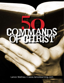# COMMANDS OF CHUST

Lance Wallnau • www.lancelearning.com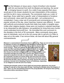T*he first followers of Jesus were a 'band of brothers' who traveled with him and learned from both his lifestyle and teaching, the sec<br>to bringing heaven to earth. As a rabbi it was expected that Jesus<br>would aive to his with him and learned from both his lifestyle and teaching, the secret to bringing heaven to earth. As a rabbi it was expected that Jesus would give to his chosen students his own interpretation of the scripture, and this he did in many commands. The commands made up a 'yoke' of teachings. Every rabbi had a specific 'yoke' of interpretations of scripture and commands. Jesus said His yoke was light - not cumbersome or complicated. It was a clear set of commands and commentaries on the popular schools of the day. Jesus' teaching, however was different. It came with authority and produced results that made lives better in tangible ways. Unlike other religious leaders, these were not mystical or abstract teachings*  to be interpreted by elite followers, but quidelines for living that every human *could understand and profit from. He committed this core curriculum to the disciples in the form of 50 commands. Many commands Jesus gave were to individuals, such as to the rich young ruler to sell all or to Peter to step out on the water. If we remove these, we have left about fifty general commandments.* 

Whenever a commandment is practiced, there is a blessing. These are not merely instructions<br>for followers of Jesus, but statements that define how mankind can live<br>in harmonious alignment with the laws that govern the phys **for followers of Jesus, but statements that define how mankind can live in harmonious alignment with the laws that govern the physical and moral universe. These non-optional life principles explain the law of cause and effect operating throughout the entire realm of creation. Like gravity, these laws apply to believers and unbelievers alike. A man who honors his wife and is diligent in his work is likely to have a more successful marriage and career than a person who claims to follow Jesus but is abusive to his wife or is lazy at work. When we practice the commands, we place our human hands upon the levers that shape the spiritual and physical realm we live. We become the farmer and our life becomes the field. Jesus' teaching, his words, become the seed that produces a harvest rich in blessing or barren of fruitfulness, depending on our diligence to work the soil of our hearts.** 



**Following the dramatic events of Jesus death and resurrection appearance, the sacred writings of Luke tell us that Jesus spent 40 days "teaching the disciples about the kingdom of God." (Acts 1:2) This was finishing school for the young Apostles. He had given them parting instructions before ascending to heaven:**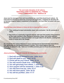# **"Go and make disciples of all nations, TEACHING THEM TO OBSERVE ALL THINGS I HAVE COMMANDED YOU." Matthew 28**

 $\frac{d_{\text{max}}}{d_{\text{max}}}\frac{d_{\text{max}}}{d_{\text{max}}}\frac{d_{\text{max}}}{d_{\text{max}}}\frac{d_{\text{max}}}{d_{\text{max}}}\frac{d_{\text{max}}}{d_{\text{max}}}\frac{d_{\text{max}}}{d_{\text{max}}}\frac{d_{\text{max}}}{d_{\text{max}}}\frac{d_{\text{max}}}{d_{\text{max}}}\frac{d_{\text{max}}}{d_{\text{max}}}\frac{d_{\text{max}}}{d_{\text{max}}}\frac{d_{\text{max}}}{d_{\text{max}}}\frac{d_{\text{max}}}{d_{\text{max}}}\frac{d$ 

**\_\_\_\_\_\_\_\_\_\_\_\_\_\_\_\_\_\_\_\_\_\_\_\_\_\_\_\_\_\_\_\_\_\_\_\_\_\_\_\_\_\_\_\_\_\_\_\_\_\_\_\_\_\_\_\_\_\_\_**

**Jesus saw his message of love and reconciliation as a word that should touch nations. He instructed his followers to teach the curriculum He taught them. Evidently the disciples did so because religious leaders complained to the Apostles "you have filled Jerusalem with your doctrine."**

# *What did these early followers of Jesus do that so impacted their culture?*

- **1. They continued to teach and practice Jesus' core curriculum the 50 commands of Christ.**
- **2. They lived as a community of genuine friends, built upon the practice of the presence of God made manifest in their lifestyle of fellowship, prayer, and mutual affection. They continued as a 'band of brothers' and taught others to do likewise, meeting from house to house and in the Temple.**

**As a result the first century followers of Jesus experienced and demonstrated extraordinary love, generosity, joy and powerful answers to prayer. This is what happens when the teachings of Jesus fill a city. There are incredible promises given to those who practice the 50 commands.**

# *Jesus promises 9 special rewards for keeping the commands:*

- **1. God will reveal Himself to you. John 14:21**
- **2. God will dwell in you. John 14:23**
- **3. Christ will be your friend. John 15:14**
- **4. You will receive Gods love. John 15:10**
- **5. You will genuinely love others. 1 John 5:2**
- **6. Your prayers will be answered. 1 John 3:22**
- **7. You will have true joy. John 15:11**
- **8. You will have peace. John 16:33**
- **9. You will be purified. John 17:17**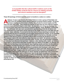*Is it possible that the cultural drift in nations such as the United States could be due to a focus on making converts and church members and not disciples?*

**\_\_\_\_\_\_\_\_\_\_\_\_\_\_\_\_\_\_\_\_\_\_\_\_\_\_\_\_\_\_\_\_\_\_\_\_\_\_\_\_\_\_\_\_\_\_\_\_\_\_\_\_\_\_\_\_**

**\_\_\_\_\_\_\_\_\_\_\_\_\_\_\_\_\_\_\_\_\_\_\_\_\_\_\_\_\_\_\_\_\_\_\_\_\_\_\_\_\_\_\_\_\_\_\_\_\_\_\_\_\_\_\_\_**

**These 50 teachings of Christ have the power to transform a culture or a nation.** 

**A follower of Jesus was hired by the United Nations to train a group of Scientists and PhD's from 20 countries whose special expertise involved oceanic studies. The group had been meeting at a University in Halifax, Nova PhD's from 20 countries whose special expertise involved oceanic studies. The group had been meeting at a University in Halifax, Nova Scotia for several weeks and this was to be their final class. They wanted the teacher to help them be more effective leaders, communicators and fund raisers in their field. He was told not to bring any theology into the training since many were from diverse countries: Muslim, Hindu, Buddhist, Communist, etc. This particular man was more accustomed to quoting freely from the Scripture and was concerned if he could teach and be relevant to the needs of the U.N. if his faith was not welcome. Upon reflection, it occurred to him that much of Jesus teaching is universal. He observed that the first 25 commands can be taught and practiced by anyone, so he reworked his training and his language so that the powerful ideas he learned as a disciple could be applied to that diverse group of scientists without them knowing the Scriptural source. The students rated it the most effective class they had ever taken! He learned a powerful lesson- followers of Jesus can be covert and overt! If overt, you can personally evangelise an individual and afterward disciple them. However, when dealing with a nation, an institute, corporation or government especially one that does not adhere to the Bible, you disciple the nation first by teaching a new and superior way of getting results and then use the platform of credibility provided through your success to show more fully the principles of faith that produce those results. By teaching solutions to problems that showcase a new way of thinking, your 'good works' will build you a platform to share more fully about your personal beliefs and your faith. Imagine what the world would be like if the sons and daughters of world leaders were taught the relevance of Jesus' sayings on leadership? They would learn to understand rather than react to differences, learn to see God's handiwork in diversity, and learn how to influence others through humility and flexibility rather than intimidation or manipulation. This is the global teaching assignment present day disciples must engage. The sayings of Jesus can build common ground for peace when all other religious and political philosophies fail.**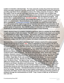**Leaders in Colombia understand this. For many years the cocaine drug lords have had more money and better equipment than the national army! The United States assisted Colombia by providing eight Black Hawk helicopters to balance the military disparity of weapons. While this helped, it did not stop the seemingly invincible power of bribery and corruption that followed the money trail. A handful of followers of Jesus decided to do something and began presenting the wisdom of God's words as part of a leadership development program. They started where nobody wanted to go -** *the prison system***. This was where all could see how powerful the cartel was, as criminals were treated like holiday guests with special rooms, meals and entertainment. Recent feedback on the results of this program are powerful! When presented as "***Leadership Principles***" the teachings of Scripture have been able to thwart the powers of the mighty drug cartel of Colombia and initiate the transformation of all their prisons- 61,000 inmates and 8000 guards. The same results have been achieved in the judicial system of Guatemala. Now 200,000 soldiers in Colombia and 100,000 civil servants in Guatemala are experiencing the transformational power of Jesus teaching.** 

**Indeed, wherever there is a problem of global proportions, there is a solution for those willing to apply principles of faith and wisdom. The AIDS crisis in Uganda nearly wiped out a country and destabilized an entire region of Africa. The solution came from a dialogue between the President and men of faith. They worked together to find the keys in Jesus' teaching and discovered that, when applied, the call to purity, self control, faithfulness and wisdom not only reduced the plague from 30% to 5% in 3 years, but helped revitalize the national economy!** 

**What about the current conflict in the Middle East? Is there a role for 21st century people of faith and the sayings of Jesus?** *Yes!* **Jesus is respected as a true Prophet in the Qur'an. What would happen if the sayings of Jesus were made the centerpiece for dialogue in centers of Islamic influence? The links that connect Jesus and Islam are much deeper, more complex and intricately woven than most would expect. He is respectfully referred to as 'Isa bin Maryam' or Jesus son of Mary. According to the Holy Quran, Isa bin Maryam is a prophet like Mohammed, Moses and David. While Muslims emphasize that Isa was only a prophet, Islamic scriptures paint a different picture. The Quran acknowledges Jesus' divine birth, earthly miracles, messianic mission, ascension to heaven, divine return, victory over the anti-Christ (al-Dajjal), and eventual global theocracy. Eleven times Isa bears the title "Messiah," and his mother, Virgin Mary, is the only woman mentioned in the Quran. The Quran proclaims Isa to be sinless and holy. Spread over fifteen different Suras (chapters), Isa is spoken of as "the Word of God," "the Spirit of God" and a "Sign of God." Indeed, there are many differences between Islam and Christianity, but there are equally great differences between Christians and Hindu's, Buddhist and Communists. The vast majority of 1.3 billion Muslims are not extremists. The common ground of all three faiths in Abraham (Hebrew, Islam and Christianity) should be more than enough to build a platform for peace. It is the devil who desires war and destruction. God blessed Ishmael and told him there would be kings coming out of his lineage. Those kings need to meet kingdom ambassadors. Now, more than ever, we need those who follow Jesus to step into the gap and serve nations by teaching solutions to problems through the commandments of Christ. Truly, if Jesus is lifted up, he will draw all men unto him.**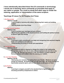**I have intentionally described these first 25 commands in terminology I would use in teaching Jesus commands as principles that apply to any nation or people. You could no doubt find other ways to render the meaning, application or interpretation of the same scripture.**

# **Teachings Of Jesus For All Peoples And Times**

## **1.** *Be Reconciled*

#### **Matthew 5:23-24**

**•Learn to walk in harmony with others, discerning their needs and building bridges.**

**•Valuing people more than things**

# **2.** *Do Not Commit Adultery*

# **Matthew 5:29**

 **•Learn to protect your marriage and your children •Mastering the appetites of the physical senses and building the spiritual senses to discern right from wrong.**

# **3.** *Keep Your Word*

#### **Matthew 5:37**

**•Learning to make commitments you keep and recognizing how personal integrity feeds our confidence and influence.**

**•Understanding the power of words and expectations**

# **4.** *Go the Extra Mile*

#### **Matthew 5:38-42**

 **•Giving beyond what is required to change the context of the relationship. Roman law required any Jew to carry a Roman backpack for one mile in any direction. By offering to go beyond a mile, the follower of Jesus made the Romans curious and created a door for sharing your beliefs.** 

# **5.** *Love Your Enemies*

#### **Matthew 5:44-46**

**•Destroying your enemies, by making them your friends. Whatever you give energy too expands. By feeding hate you get more hate. By loving enemies we feed another powerful spirit, and it in turn, feeds us with peace of mind.** 

# **6.** *Be Perfect*

# **Matthew**

**•Learning to compare yourself to the standard that Is highest rather than excusing yourself by comparisons to others**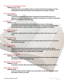# **7.** *Practice Your Spirituality in Secret*

# **Matthew 6:3-4, 17-18**

 **•Learning to live your highest values in secret and not for the applause of men. Understand that private victories of self mastery lead to public victories.** 

#### **8.** *Lay up Treasures*

#### **Matthew 6:19-21**

 **•Learning to distinguish that which is temporal from that which lives on in eternity. Investing in that which has ultimate value gives you access to resources others cannot steal or take from you.** 

#### **9.** *Judge Not*

## **Matthew 7:1-3**

 **•Learning to see clearly without the distortion of anger or self interest. •Learning to discern hidden causes behind surface activity and understanding the universal law of cause and effect in harvests that follow our attitude.**

#### **10.** *Do Not Cast Pearls*

#### **Matthew 7:6**

 **•Learning to rightly discern the time and place to share that which you value most.**

#### **11.** *Ask, Seek, Knock*

#### **Matthew 7:7-8**

**•Realizing that the Universe you live in rewards perseverance and if you persist you shall be rewarded.**

# **12.** *Do unto Others*

#### **Matthew 7:12**

**•Understanding how to practice genuine sensitivity to the needs of others. •Realizing your common humanity and asking yourself how you would want to be treated in a situation, and treating others accordingly.**

#### **13.** *Choose the Narrow Way*

#### **Matthew 7:13-14**

**•Recognizing that the easy way does not yield the same reward as deliberately choosing the harder but superior way.**

#### **14.** *Beware of False Prophets*

#### **Matthew 7:15-16**

**•Learning to test the ideas that influence us through the persuasion of others.**

#### **15.** *Be Wise as Serpents*

# **Matthew 10:16**

 **•Learn to wisely read and adapt to an environment so that you can achieve the honorable outcome you seek.**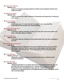### **16.** *Honor Your Parents*

#### **Matthew 15:4**

**•Learn to recognize and appreciate the sacrifice and investment of those who helped you grow.**

#### **17.** *Beware of Leaven*

#### **Matthew 16:6**

**•Learn to discern the subtle influence of insincerity and hypocrisy in living your core values.**

# **18.** *Deny Yourself*

# **Luke 9:23-25**

**•Learning to say "no" when the call of a greater "yes" is on your life. •Learning that self control is the master aptitude.**

# **19.** *Despise Not Little Ones*

# **Matthew 18:10**

**•Learning to balance priorities so that you invest and care for the weaker and more vulnerable status of children.**

#### **20.** *Go to Offenders*

#### **Matthew 18:15**

**•Learning to take the initiative to heal relationships that have been damaged in your life.**

#### **21.** *Beware Of Covetousness*

#### **Luke 12:15**

**•Realizing that your happiness can never be defined by what you own, rather, life's truest riches are free for anyone who values people more than things and others before themselves. True contentment is built on the bedrock of what is eternal.**

#### **22.** *Go to Offenders*

#### **Matthew 18:21-22**

**•Taking the initiative to release yourself and others from captivity to their destructive behavior.**

#### **23.** *Honor Marriage*

#### **Matthew 19:4-6**

 **•Realizing that there is no clearer test of your real character than the way you treat the ones who are closest to you. Your devotion to God is revealed in the quality of your commitment to your spouse. Faithfulness to another enables you to appreciate Gods unchanging devotion toward you as one of His own covenant people.**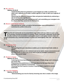#### **24.** *Be a Servant*

#### **Matthew 20:26-28**

**•Understanding that true greatness is not wrapped up in title or position but rather your capacity to set aside a selfish agenda in order to take up an agenda of service.** 

**•Discerning the difference between false and genuine leadership by embracing a role of service over significance.** 

**•Real leadership starts with leading yourself, and committing your energies to do for others what they cannot do for themselves.**

#### **25.** *Beware of the leaven of Herod*

**•Recognizing the subtle corruption that permeates mans philosophies in contemporary political discourse.**

These first 25 commands can be presented to any culture and any nation in such a way<br>as to provide universal principles for practice. These commands, especially 26-28 coul<br>actually continue to be presented as principles an **as to provide universal principles for practice. These commands, especially 26-28 could actually continue to be presented as principles anyone could apply, however there are certain commands only a devoted follower of Christ can meaningfully enter into. I list them as 26-50.** 

**\_\_\_\_\_\_\_\_\_\_\_\_\_\_\_\_\_\_\_\_\_\_\_\_\_\_\_\_\_\_\_\_\_\_\_\_\_\_\_\_\_\_\_\_\_\_\_\_\_\_\_\_\_\_\_\_\_\_\_\_\_**

**Let the strong of the strong of the strong system of the find?** 

#### **26.** *Bring In the Poor*

#### **Luke 14:12-14**

**•Recognizing that your abundance enables you to demonstrate Gods reality to others.**

**•Remembering that you are a steward and not an owner of your possessions and that God is free to direct you at any time to acts of unselfish investment in others who cannot repay.** 

#### **27.** *Render to Caesar*

#### **Matthew 22:19-21**

 **•Learning that honoring authority is a principle of Gods design and in doing so you honor Him.**

 **•Expressing that gratefulness to God and others for the ways they have benefited you is superior to murmuring.**

**•Knowing that God requires honesty in paying what is required to secular authorities.**

#### **28.** *Love Your Neighbor*

#### **Matthew 22:39-40**

 **•Demonstrating your love for God by honoring man who is made in His image.**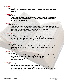#### **29.** *Repent*

#### **Matthew 4:17**

**•Turning your thinking and behavior around to agree with the things God is saying.**

#### **30.** *Follow Me*

# **Matthew 4:19**

**•Remembering that you are not practicing a sterile system of principles, but following a living dynamic person who makes Himself real to you through His indwelling Holy Spirit.**

#### **31.** *Rejoice*

# **Matthew 5:11-12**

**•Understanding that righteousness is sometimes celebrated and at other times ridiculed. You are free to interpret some opposition as an indication that you are challenging the right things and will therefore be respectful but happy about the rejection of your message.** 

#### **32.** *Let Your Light Shine*

#### **Matthew 5:16**

**•You will let your good works speak more loudly than your good words as I demonstrate the superiority of Christ's life by illuminating the darkness with acts that help others in unexpected ways.**

#### **33.** *Honor Gods Law*

#### **Matthew 5:17-18**

**•Understanding that Christ did not come to destroy the law but to fulfill it by making it possible for you to live the law of love through the power of His Spirit.**

## **34.** *Seek First the Kingdom*

#### **Matthew 6:33**

**•Discerning that the highest priority in your life is to do the will of Him that sent you and to complete your current kingdom assignment.**

**•Being confident that your pursuit of heavenly priorities will be rewarded by heavenly provision.**

# **35.** *Fear Not*

# **Matthew 11:15**

**•Discerning the power of perfect love to cast out all fear. •Welcoming the only fear that actually produces blessing- the fear of God- who observes your paths and is rewarding or disciplining you according to your behavior in His sight.**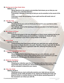#### **36.** *Having ears to Hear Gods Voice*

# **Matthew 11:15**

**•Being attentive to the projects and priorities God shows you so that you can give them your undivided attention.** 

**•Cultivating a lifestyle of listening so that you can be sensitive to the sound of His voice.** 

 **•Learning to honor the prompting of your spirit and the still small voice of conscience.**

#### **37.** *Take My Yoke*

#### **Matthew 11:28-30**

**•Knowing that as you come to Christ you find rest for your soul that no other source can satisfy.** 

**•You willingly adjust to His teaching so that you can plow in the field He places you with accuracy.**

#### **38.** *Be a House of Prayer*

# **Matthew 21:13**

**•Learning that prayer is the very atmosphere of God's house realizing that as you engage in steadfast prayer you are building a habitation for Gods will to be done completely in your life as a living temple of His Spirit.** 

#### **39.** *Ask In Faith*

#### **Matthew 21:21-22**

**•Understanding that Gods words will feed your spirit that your words will have the power to release His will in the earth. Therefore, fill your heart with His Words and speak that which is in agreement with Him, believing that what you say will come to pass.**

# **40.** *Love the Lord with All Your Heart*

#### **Matthew 22:37-38**

**•Realizing that God is deserving of your full and entire affection, you will therefore guard your heart so that nothing will be more important to you than pleasing the one who gave His infinite and utmost for you.**

#### **41.** *Watch for His Return*

#### **Matthew 24:42-44**

 **•Keeping your attention upon the fact that there will be a literal return of the resurrected Jesus and that your stewardship of influence and blessing will be evaluated to determine your reward.**

# **42.** *Take, Eat, Drink*

#### **Matthew 26:26-27**

**•Realizing that you must continually examine your state lest you become hardened by the subtle deception of sin. Eating and drinking the body and blood of Christ in a worthy manner so that the grace quickening power of this sacrament can infuse you with life.**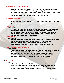# **43.** *Receive Power to Become Sons of God*

#### **John 1:12-13,**

**•Understanding that you have been received by Him and are therefore a new creation, a full member of Gods own family, partaking of the divine nature that is worked out in you daily as you abide in Him and His words. You now have authority at the throne of grace to present your needs and to represent the authority of heaven on earth in the scope of your assignment.**

# **44.** *Keep My Commandments*

# **John 14:15**

**•Knowing that as you abide in His love He abides in you and you make your way prosperous and filled with His Joy and Peace.**

# **45.** *Watch and Pray*

# **Matthew 26:41**

**•Understanding that your spirit may be willing but your natural man is weakened under the downward pull of the earth, flesh and temptation augmented by the devil. Therefore you will be diligent to experience Gods power to deliver you from evil by drawing nearer to Him daily and especially at the very time you feel weak and susceptible to temptation.**

# **47.** *Feed My Sheep*

# **John 21:15-16**

**•Understanding the importance of taking heed to both yourself and those whom you have influence over in the kingdom so that they may be properly nourished in the revelation of the Word. Purposing to do the will of God regardless of cost and investing in the growth of other believers.**

#### **48.** *Teach all Nations and making Disciples*

#### **Matthew 28:19**

**•Remembering that you are called to not only feed the flock where you live but to teach other nations the truths that can bring the blessing of Christ's commandments to them. Believing that you can play a part in making disciples of nations. You can serve leaders of nations by healing their national sickness much like a believer heals an individual's sickness, and like Joseph or Daniel, serve your way into a place of influence.**

#### **49.** *Baptizing them*

# **Matthew 28:19**

**•Remembering that the death, burial and resurrection of Jesus is something you experience fully the moment you were born into the kingdom and that this experience of a new beginning is manifest in waters of baptism.**

**• Realizing the message of forgiveness and reconciliation can touch entire nations.**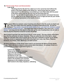### **50.** *Receive Gods Power and Demonstration*

#### **Luke 24:49**

**•Realizing that the life God has called you to live cannot be lived without the power of His Spirit continuously filling you. Jesus knows that you cannot stand apart from Him and has commanded you to be filled daily with the power of His grace and to pray for the sick and set free those that are bound. You are able to speak words with great penetration and impact because He has called you to be clothed with power from on high and will use your words to fix lasting impressions in the hearts of others.**

**TREAD THE GET ARE THE GET ARE THE GET ARE THE SPIRIT AND THE CALL THE MORE THE SPIRIT AND Life. They have within them the capacity to produce supernatural fruit. He told his followers: "If ye abide in me and my words abid Life. They have within them the capacity to produce supernatural fruit. He told his followers: "***If ye abide in me and my words abide in you , you shall ask whatever ye want master***," and expected the Holy Spirit to fully take up the role of leading them into all truth in that his physical departure would be to their advantage.** 

**What would it look like if we were to be as He is, in this world? The nine virtues of the Spirit describe the perfection of Jesus' character. They are called the fruit of the Spirit. Jesus taught the disciples that a tree is known by it's fruit and a character is known by it's deeds. The nine virtues or expressions of the fruit of the Spirit are: Love, Joy, Peace, Patience, Kindness, Goodness, Faith, Meekness, and Self Control.** 

**All these expressions of the divine nature exist in you because the Spirit of Christ dwells in you. This is the divine nature in every person born from above... to minister Christ is in practical terms, to impart supernatural grace in...**

- **•Love to the unlovely •Peace to the fearful or frustrated •Joy to the sad and depressed •Patience to the driven •Gentleness to the rude •Goodness to the undeserving and selfish •Faith to the doubting and uncertain •Meekness to the haughty and proud**
- **•Self Control to the hasty, impulsive, unthinking**